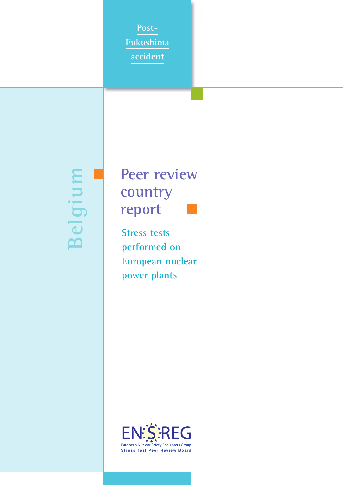**Post-Fukushima accident**

**Belgium**

# **Peer review country report**

**Stress tests performed on European nuclear power plants**

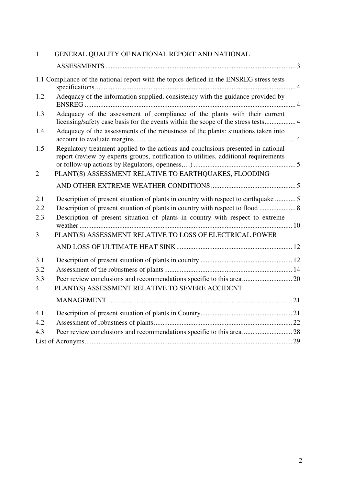| $\mathbf{1}$                        | GENERAL QUALITY OF NATIONAL REPORT AND NATIONAL                                                                                                                                                                                  |  |
|-------------------------------------|----------------------------------------------------------------------------------------------------------------------------------------------------------------------------------------------------------------------------------|--|
|                                     |                                                                                                                                                                                                                                  |  |
|                                     | 1.1 Compliance of the national report with the topics defined in the ENSREG stress tests                                                                                                                                         |  |
| 1.2                                 | Adequacy of the information supplied, consistency with the guidance provided by                                                                                                                                                  |  |
| 1.3                                 | Adequacy of the assessment of compliance of the plants with their current<br>licensing/safety case basis for the events within the scope of the stress tests 4                                                                   |  |
| 1.4                                 | Adequacy of the assessments of the robustness of the plants: situations taken into                                                                                                                                               |  |
| 1.5                                 | Regulatory treatment applied to the actions and conclusions presented in national<br>report (review by experts groups, notification to utilities, additional requirements                                                        |  |
| $\overline{2}$                      | PLANT(S) ASSESSMENT RELATIVE TO EARTHQUAKES, FLOODING                                                                                                                                                                            |  |
|                                     |                                                                                                                                                                                                                                  |  |
| 2.1<br>2.2<br>2.3<br>3              | Description of present situation of plants in country with respect to earthquake  5<br>Description of present situation of plants in country with respect to extreme<br>PLANT(S) ASSESSMENT RELATIVE TO LOSS OF ELECTRICAL POWER |  |
|                                     |                                                                                                                                                                                                                                  |  |
| 3.1<br>3.2<br>3.3<br>$\overline{4}$ | PLANT(S) ASSESSMENT RELATIVE TO SEVERE ACCIDENT                                                                                                                                                                                  |  |
|                                     |                                                                                                                                                                                                                                  |  |
| 4.1<br>4.2                          |                                                                                                                                                                                                                                  |  |
| 4.3                                 |                                                                                                                                                                                                                                  |  |
|                                     |                                                                                                                                                                                                                                  |  |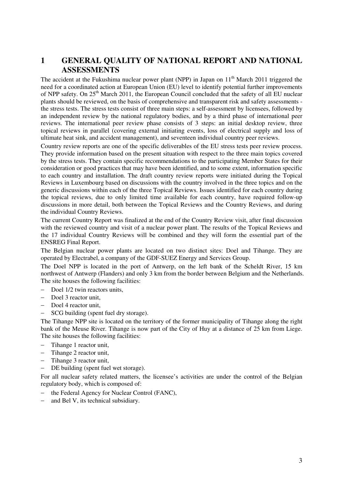# **1 GENERAL QUALITY OF NATIONAL REPORT AND NATIONAL ASSESSMENTS**

The accident at the Fukushima nuclear power plant (NPP) in Japan on 11<sup>th</sup> March 2011 triggered the need for a coordinated action at European Union (EU) level to identify potential further improvements of NPP safety. On 25<sup>th</sup> March 2011, the European Council concluded that the safety of all EU nuclear plants should be reviewed, on the basis of comprehensive and transparent risk and safety assessments the stress tests. The stress tests consist of three main steps: a self-assessment by licensees, followed by an independent review by the national regulatory bodies, and by a third phase of international peer reviews. The international peer review phase consists of 3 steps: an initial desktop review, three topical reviews in parallel (covering external initiating events, loss of electrical supply and loss of ultimate heat sink, and accident management), and seventeen individual country peer reviews.

Country review reports are one of the specific deliverables of the EU stress tests peer review process. They provide information based on the present situation with respect to the three main topics covered by the stress tests. They contain specific recommendations to the participating Member States for their consideration or good practices that may have been identified, and to some extent, information specific to each country and installation. The draft country review reports were initiated during the Topical Reviews in Luxembourg based on discussions with the country involved in the three topics and on the generic discussions within each of the three Topical Reviews. Issues identified for each country during the topical reviews, due to only limited time available for each country, have required follow-up discussions in more detail, both between the Topical Reviews and the Country Reviews, and during the individual Country Reviews.

The current Country Report was finalized at the end of the Country Review visit, after final discussion with the reviewed country and visit of a nuclear power plant. The results of the Topical Reviews and the 17 individual Country Reviews will be combined and they will form the essential part of the ENSREG Final Report.

The Belgian nuclear power plants are located on two distinct sites: Doel and Tihange. They are operated by Electrabel, a company of the GDF-SUEZ Energy and Services Group.

The Doel NPP is located in the port of Antwerp, on the left bank of the Scheldt River, 15 km northwest of Antwerp (Flanders) and only 3 km from the border between Belgium and the Netherlands. The site houses the following facilities:

- Doel  $1/2$  twin reactors units,
- Doel 3 reactor unit,
- Doel 4 reactor unit,
- − SCG building (spent fuel dry storage).

The Tihange NPP site is located on the territory of the former municipality of Tihange along the right bank of the Meuse River. Tihange is now part of the City of Huy at a distance of 25 km from Liege. The site houses the following facilities:

- − Tihange 1 reactor unit,
- Tihange 2 reactor unit,
- Tihange 3 reactor unit,
- DE building (spent fuel wet storage).

For all nuclear safety related matters, the licensee's activities are under the control of the Belgian regulatory body, which is composed of:

- the Federal Agency for Nuclear Control (FANC),
- and Bel V, its technical subsidiary.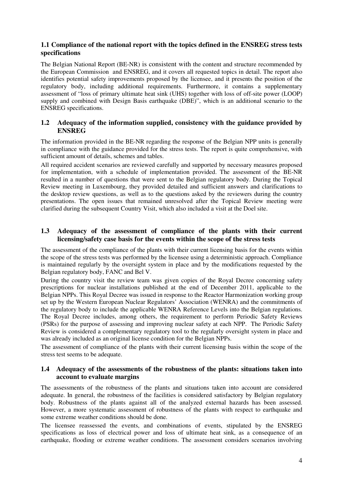# **1.1 Compliance of the national report with the topics defined in the ENSREG stress tests specifications**

The Belgian National Report (BE-NR) is consistent with the content and structure recommended by the European Commission and ENSREG, and it covers all requested topics in detail. The report also identifies potential safety improvements proposed by the licensee, and it presents the position of the regulatory body, including additional requirements. Furthermore, it contains a supplementary assessment of "loss of primary ultimate heat sink (UHS) together with loss of off-site power (LOOP) supply and combined with Design Basis earthquake (DBE)", which is an additional scenario to the ENSREG specifications.

# **1.2 Adequacy of the information supplied, consistency with the guidance provided by ENSREG**

The information provided in the BE-NR regarding the response of the Belgian NPP units is generally in compliance with the guidance provided for the stress tests. The report is quite comprehensive, with sufficient amount of details, schemes and tables.

All required accident scenarios are reviewed carefully and supported by necessary measures proposed for implementation, with a schedule of implementation provided. The assessment of the BE-NR resulted in a number of questions that were sent to the Belgian regulatory body. During the Topical Review meeting in Luxembourg, they provided detailed and sufficient answers and clarifications to the desktop review questions, as well as to the questions asked by the reviewers during the country presentations. The open issues that remained unresolved after the Topical Review meeting were clarified during the subsequent Country Visit, which also included a visit at the Doel site.

# **1.3 Adequacy of the assessment of compliance of the plants with their current licensing/safety case basis for the events within the scope of the stress tests**

The assessment of the compliance of the plants with their current licensing basis for the events within the scope of the stress tests was performed by the licensee using a deterministic approach. Compliance is maintained regularly by the oversight system in place and by the modifications requested by the Belgian regulatory body, FANC and Bel V.

During the country visit the review team was given copies of the Royal Decree concerning safety prescriptions for nuclear installations published at the end of December 2011, applicable to the Belgian NPPs. This Royal Decree was issued in response to the Reactor Harmonization working group set up by the Western European Nuclear Regulators' Association (WENRA) and the commitments of the regulatory body to include the applicable WENRA Reference Levels into the Belgian regulations. The Royal Decree includes, among others, the requirement to perform Periodic Safety Reviews (PSRs) for the purpose of assessing and improving nuclear safety at each NPP. The Periodic Safety Review is considered a complementary regulatory tool to the regularly oversight system in place and was already included as an original license condition for the Belgian NPPs.

The assessment of compliance of the plants with their current licensing basis within the scope of the stress test seems to be adequate.

# **1.4 Adequacy of the assessments of the robustness of the plants: situations taken into account to evaluate margins**

The assessments of the robustness of the plants and situations taken into account are considered adequate. In general, the robustness of the facilities is considered satisfactory by Belgian regulatory body. Robustness of the plants against all of the analyzed external hazards has been assessed. However, a more systematic assessment of robustness of the plants with respect to earthquake and some extreme weather conditions should be done.

The licensee reassessed the events, and combinations of events, stipulated by the ENSREG specifications as loss of electrical power and loss of ultimate heat sink, as a consequence of an earthquake, flooding or extreme weather conditions. The assessment considers scenarios involving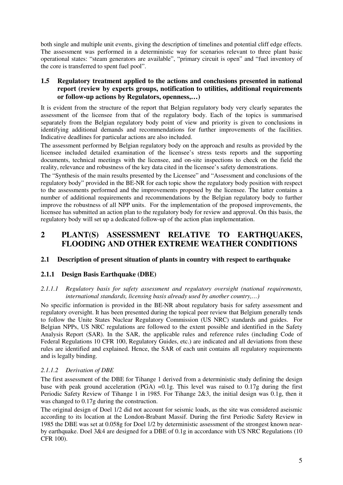both single and multiple unit events, giving the description of timelines and potential cliff edge effects. The assessment was performed in a deterministic way for scenarios relevant to three plant basic operational states: "steam generators are available", "primary circuit is open" and "fuel inventory of the core is transferred to spent fuel pool".

# **1.5 Regulatory treatment applied to the actions and conclusions presented in national report (review by experts groups, notification to utilities, additional requirements or follow-up actions by Regulators, openness,…)**

It is evident from the structure of the report that Belgian regulatory body very clearly separates the assessment of the licensee from that of the regulatory body. Each of the topics is summarised separately from the Belgian regulatory body point of view and priority is given to conclusions in identifying additional demands and recommendations for further improvements of the facilities. Indicative deadlines for particular actions are also included.

The assessment performed by Belgian regulatory body on the approach and results as provided by the licensee included detailed examination of the licensee's stress tests reports and the supporting documents, technical meetings with the licensee, and on-site inspections to check on the field the reality, relevance and robustness of the key data cited in the licensee's safety demonstrations.

The "Synthesis of the main results presented by the Licensee" and "Assessment and conclusions of the regulatory body" provided in the BE-NR for each topic show the regulatory body position with respect to the assessments performed and the improvements proposed by the licensee. The latter contains a number of additional requirements and recommendations by the Belgian regulatory body to further improve the robustness of all NPP units. For the implementation of the proposed improvements, the licensee has submitted an action plan to the regulatory body for review and approval. On this basis, the regulatory body will set up a dedicated follow-up of the action plan implementation.

# **2 PLANT(S) ASSESSMENT RELATIVE TO EARTHQUAKES, FLOODING AND OTHER EXTREME WEATHER CONDITIONS**

# **2.1 Description of present situation of plants in country with respect to earthquake**

# **2.1.1 Design Basis Earthquake (DBE)**

#### *2.1.1.1 Regulatory basis for safety assessment and regulatory oversight (national requirements, international standards, licensing basis already used by another country,…)*

No specific information is provided in the BE-NR about regulatory basis for safety assessment and regulatory oversight. It has been presented during the topical peer review that Belgium generally tends to follow the Unite States Nuclear Regulatory Commission (US NRC) standards and guides. For Belgian NPPs, US NRC regulations are followed to the extent possible and identified in the Safety Analysis Report (SAR). In the SAR, the applicable rules and reference rules (including Code of Federal Regulations 10 CFR 100, Regulatory Guides, etc.) are indicated and all deviations from these rules are identified and explained. Hence, the SAR of each unit contains all regulatory requirements and is legally binding.

# *2.1.1.2 Derivation of DBE*

The first assessment of the DBE for Tihange 1 derived from a deterministic study defining the design base with peak ground acceleration (PGA) =0.1g. This level was raised to 0.17g during the first Periodic Safety Review of Tihange 1 in 1985. For Tihange 2&3, the initial design was 0.1g, then it was changed to 0.17g during the construction.

The original design of Doel 1/2 did not account for seismic loads, as the site was considered aseismic according to its location at the London-Brabant Massif. During the first Periodic Safety Review in 1985 the DBE was set at 0.058g for Doel 1/2 by deterministic assessment of the strongest known nearby earthquake. Doel 3&4 are designed for a DBE of 0.1g in accordance with US NRC Regulations (10 CFR 100).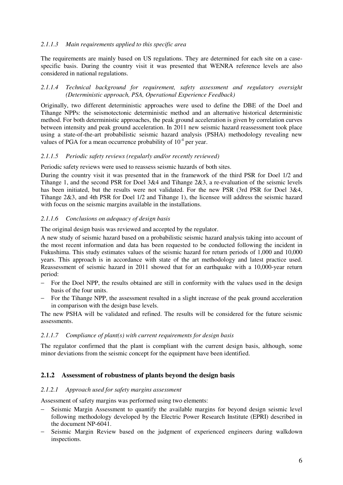## *2.1.1.3 Main requirements applied to this specific area*

The requirements are mainly based on US regulations. They are determined for each site on a casespecific basis. During the country visit it was presented that WENRA reference levels are also considered in national regulations.

#### *2.1.1.4 Technical background for requirement, safety assessment and regulatory oversight (Deterministic approach, PSA, Operational Experience Feedback)*

Originally, two different deterministic approaches were used to define the DBE of the Doel and Tihange NPPs: the seismotectonic deterministic method and an alternative historical deterministic method. For both deterministic approaches, the peak ground acceleration is given by correlation curves between intensity and peak ground acceleration. In 2011 new seismic hazard reassessment took place using a state-of-the-art probabilistic seismic hazard analysis (PSHA) methodology revealing new values of PGA for a mean occurrence probability of  $10<sup>-4</sup>$  per year.

#### *2.1.1.5 Periodic safety reviews (regularly and/or recently reviewed)*

#### Periodic safety reviews were used to reassess seismic hazards of both sites.

During the country visit it was presented that in the framework of the third PSR for Doel 1/2 and Tihange 1, and the second PSR for Doel 3&4 and Tihange 2&3, a re-evaluation of the seismic levels has been initiated, but the results were not validated. For the new PSR (3rd PSR for Doel 3&4, Tihange 2&3, and 4th PSR for Doel 1/2 and Tihange 1), the licensee will address the seismic hazard with focus on the seismic margins available in the installations.

#### *2.1.1.6 Conclusions on adequacy of design basis*

The original design basis was reviewed and accepted by the regulator.

A new study of seismic hazard based on a probabilistic seismic hazard analysis taking into account of the most recent information and data has been requested to be conducted following the incident in Fukushima. This study estimates values of the seismic hazard for return periods of 1,000 and 10,000 years. This approach is in accordance with state of the art methodology and latest practice used. Reassessment of seismic hazard in 2011 showed that for an earthquake with a 10,000-year return period:

- For the Doel NPP, the results obtained are still in conformity with the values used in the design basis of the four units.
- For the Tihange NPP, the assessment resulted in a slight increase of the peak ground acceleration in comparison with the design base levels.

The new PSHA will be validated and refined. The results will be considered for the future seismic assessments.

#### *2.1.1.7 Compliance of plant(s) with current requirements for design basis*

The regulator confirmed that the plant is compliant with the current design basis, although, some minor deviations from the seismic concept for the equipment have been identified.

# **2.1.2 Assessment of robustness of plants beyond the design basis**

#### *2.1.2.1 Approach used for safety margins assessment*

Assessment of safety margins was performed using two elements:

- Seismic Margin Assessment to quantify the available margins for beyond design seismic level following methodology developed by the Electric Power Research Institute (EPRI) described in the document NP-6041.
- Seismic Margin Review based on the judgment of experienced engineers during walkdown inspections.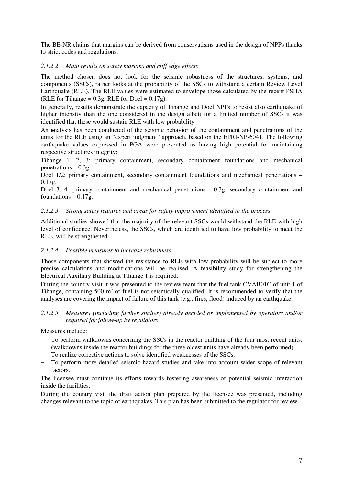The BE-NR claims that margins can be derived from conservatisms used in the design of NPPs thanks to strict codes and regulations.

# *2.1.2.2 Main results on safety margins and cliff edge effects*

The method chosen does not look for the seismic robustness of the structures, systems, and components (SSCs), rather looks at the probability of the SSCs to withstand a certain Review Level Earthquake (RLE). The RLE values were estimated to envelope those calculated by the recent PSHA (RLE for Tihange =  $0.3$ g, RLE for Doel =  $0.17$ g).

In generally, results demonstrate the capacity of Tihange and Doel NPPs to resist also earthquake of higher intensity than the one considered in the design albeit for a limited number of SSCs it was identified that these would sustain RLE with low probability.

An analysis has been conducted of the seismic behavior of the containment and penetrations of the units for the RLE using an "expert judgment" approach, based on the EPRI-NP-6041. The following earthquake values expressed in PGA were presented as having high potential for maintaining respective structures integrity:

Tihange 1, 2, 3: primary containment, secondary containment foundations and mechanical penetrations  $-0.3g$ .

Doel 1/2: primary containment, secondary containment foundations and mechanical penetrations –  $0.17g.$ 

Doel 3, 4: primary containment and mechanical penetrations - 0.3g, secondary containment and foundations  $-0.17g$ .

#### *2.1.2.3 Strong safety features and areas for safety improvement identified in the process*

Additional studies showed that the majority of the relevant SSCs would withstand the RLE with high level of confidence. Nevertheless, the SSCs, which are identified to have low probability to meet the RLE, will be strengthened.

#### *2.1.2.4 Possible measures to increase robustness*

Those components that showed the resistance to RLE with low probability will be subject to more precise calculations and modifications will be realised. A feasibility study for strengthening the Electrical Auxiliary Building at Tihange 1 is required.

During the country visit it was presented to the review team that the fuel tank CVAB01C of unit 1 of Tihange, containing 500  $m<sup>3</sup>$  of fuel is not seismically qualified. It is recommended to verify that the analyses are covering the impact of failure of this tank (e.g., fires, flood) induced by an earthquake.

#### *2.1.2.5 Measures (including further studies) already decided or implemented by operators and/or required for follow-up by regulators*

Measures include:

- To perform walkdowns concerning the SSCs in the reactor building of the four most recent units. (walkdowns inside the reactor buildings for the three oldest units have already been performed).
- To realize corrective actions to solve identified weaknesses of the SSCs.
- To perform more detailed seismic hazard studies and take into account wider scope of relevant factors

The licensee must continue its efforts towards fostering awareness of potential seismic interaction inside the facilities.

During the country visit the draft action plan prepared by the licensee was presented, including changes relevant to the topic of earthquakes. This plan has been submitted to the regulator for review.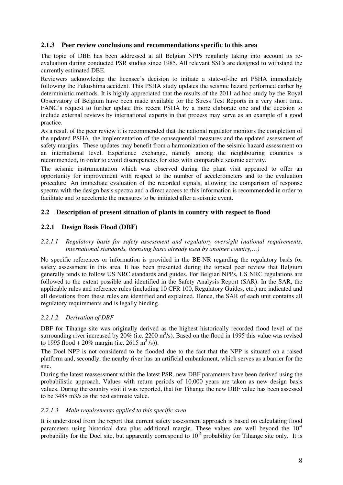# **2.1.3 Peer review conclusions and recommendations specific to this area**

The topic of DBE has been addressed at all Belgian NPPs regularly taking into account its reevaluation during conducted PSR studies since 1985. All relevant SSCs are designed to withstand the currently estimated DBE.

Reviewers acknowledge the licensee's decision to initiate a state-of-the art PSHA immediately following the Fukushima accident. This PSHA study updates the seismic hazard performed earlier by deterministic methods. It is highly appreciated that the results of the 2011 ad-hoc study by the Royal Observatory of Belgium have been made available for the Stress Test Reports in a very short time. FANC's request to further update this recent PSHA by a more elaborate one and the decision to include external reviews by international experts in that process may serve as an example of a good practice.

As a result of the peer review it is recommended that the national regulator monitors the completion of the updated PSHA, the implementation of the consequential measures and the updated assessment of safety margins. These updates may benefit from a harmonization of the seismic hazard assessment on an international level. Experience exchange, namely among the neighbouring countries is recommended, in order to avoid discrepancies for sites with comparable seismic activity.

The seismic instrumentation which was observed during the plant visit appeared to offer an opportunity for improvement with respect to the number of accelerometers and to the evaluation procedure. An immediate evaluation of the recorded signals, allowing the comparison of response spectra with the design basis spectra and a direct access to this information is recommended in order to facilitate and to accelerate the measures to be initiated after a seismic event.

# **2.2 Description of present situation of plants in country with respect to flood**

# **2.2.1 Design Basis Flood (DBF)**

#### *2.2.1.1 Regulatory basis for safety assessment and regulatory oversight (national requirements, international standards, licensing basis already used by another country,…)*

No specific references or information is provided in the BE-NR regarding the regulatory basis for safety assessment in this area. It has been presented during the topical peer review that Belgium generally tends to follow US NRC standards and guides. For Belgian NPPs, US NRC regulations are followed to the extent possible and identified in the Safety Analysis Report (SAR). In the SAR, the applicable rules and reference rules (including 10 CFR 100, Regulatory Guides, etc.) are indicated and all deviations from these rules are identified and explained. Hence, the SAR of each unit contains all regulatory requirements and is legally binding.

# *2.2.1.2 Derivation of DBF*

DBF for Tihange site was originally derived as the highest historically recorded flood level of the surrounding river increased by  $20\%$  (i.e.  $2200 \text{ m}^3/\text{s}$ ). Based on the flood in 1995 this value was revised to 1995 flood + 20% margin (i.e.  $2615 \text{ m}^3$  /s)).

The Doel NPP is not considered to be flooded due to the fact that the NPP is situated on a raised platform and, secondly, the nearby river has an artificial embankment, which serves as a barrier for the site.

During the latest reassessment within the latest PSR, new DBF parameters have been derived using the probabilistic approach. Values with return periods of 10,000 years are taken as new design basis values. During the country visit it was reported, that for Tihange the new DBF value has been assessed to be 3488 m3/s as the best estimate value.

# *2.2.1.3 Main requirements applied to this specific area*

It is understood from the report that current safety assessment approach is based on calculating flood parameters using historical data plus additional margin. These values are well beyond the  $10^{-4}$ probability for the Doel site, but apparently correspond to  $10<sup>-2</sup>$  probability for Tihange site only. It is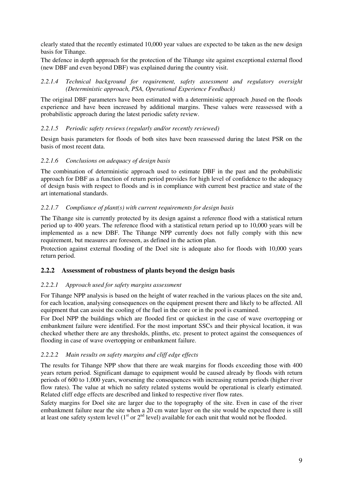clearly stated that the recently estimated 10,000 year values are expected to be taken as the new design basis for Tihange.

The defence in depth approach for the protection of the Tihange site against exceptional external flood (new DBF and even beyond DBF) was explained during the country visit.

#### *2.2.1.4 Technical background for requirement, safety assessment and regulatory oversight (Deterministic approach, PSA, Operational Experience Feedback)*

The original DBF parameters have been estimated with a deterministic approach ,based on the floods experience and have been increased by additional margins. These values were reassessed with a probabilistic approach during the latest periodic safety review.

#### *2.2.1.5 Periodic safety reviews (regularly and/or recently reviewed)*

Design basis parameters for floods of both sites have been reassessed during the latest PSR on the basis of most recent data.

#### *2.2.1.6 Conclusions on adequacy of design basis*

The combination of deterministic approach used to estimate DBF in the past and the probabilistic approach for DBF as a function of return period provides for high level of confidence to the adequacy of design basis with respect to floods and is in compliance with current best practice and state of the art international standards.

#### *2.2.1.7 Compliance of plant(s) with current requirements for design basis*

The Tihange site is currently protected by its design against a reference flood with a statistical return period up to 400 years. The reference flood with a statistical return period up to 10,000 years will be implemented as a new DBF. The Tihange NPP currently does not fully comply with this new requirement, but measures are foreseen, as defined in the action plan.

Protection against external flooding of the Doel site is adequate also for floods with 10,000 years return period.

# **2.2.2 Assessment of robustness of plants beyond the design basis**

# *2.2.2.1 Approach used for safety margins assessment*

For Tihange NPP analysis is based on the height of water reached in the various places on the site and, for each location, analysing consequences on the equipment present there and likely to be affected. All equipment that can assist the cooling of the fuel in the core or in the pool is examined.

For Doel NPP the buildings which are flooded first or quickest in the case of wave overtopping or embankment failure were identified. For the most important SSCs and their physical location, it was checked whether there are any thresholds, plinths, etc. present to protect against the consequences of flooding in case of wave overtopping or embankment failure.

# *2.2.2.2 Main results on safety margins and cliff edge effects*

The results for Tihange NPP show that there are weak margins for floods exceeding those with 400 years return period. Significant damage to equipment would be caused already by floods with return periods of 600 to 1,000 years, worsening the consequences with increasing return periods (higher river flow rates). The value at which no safety related systems would be operational is clearly estimated. Related cliff edge effects are described and linked to respective river flow rates.

Safety margins for Doel site are larger due to the topography of the site. Even in case of the river embankment failure near the site when a 20 cm water layer on the site would be expected there is still at least one safety system level (1<sup>st</sup> or 2<sup>nd</sup> level) available for each unit that would not be flooded.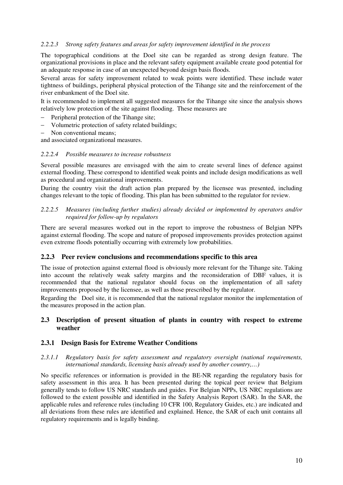#### *2.2.2.3 Strong safety features and areas for safety improvement identified in the process*

The topographical conditions at the Doel site can be regarded as strong design feature. The organizational provisions in place and the relevant safety equipment available create good potential for an adequate response in case of an unexpected beyond design basis floods.

Several areas for safety improvement related to weak points were identified. These include water tightness of buildings, peripheral physical protection of the Tihange site and the reinforcement of the river embankment of the Doel site.

It is recommended to implement all suggested measures for the Tihange site since the analysis shows relatively low protection of the site against flooding. These measures are

- − Peripheral protection of the Tihange site;
- Volumetric protection of safety related buildings;
- Non conventional means:

and associated organizational measures.

#### *2.2.2.4 Possible measures to increase robustness*

Several possible measures are envisaged with the aim to create several lines of defence against external flooding. These correspond to identified weak points and include design modifications as well as procedural and organizational improvements.

During the country visit the draft action plan prepared by the licensee was presented, including changes relevant to the topic of flooding. This plan has been submitted to the regulator for review.

#### *2.2.2.5 Measures (including further studies) already decided or implemented by operators and/or required for follow-up by regulators*

There are several measures worked out in the report to improve the robustness of Belgian NPPs against external flooding. The scope and nature of proposed improvements provides protection against even extreme floods potentially occurring with extremely low probabilities.

#### **2.2.3 Peer review conclusions and recommendations specific to this area**

The issue of protection against external flood is obviously more relevant for the Tihange site. Taking into account the relatively weak safety margins and the reconsideration of DBF values, it is recommended that the national regulator should focus on the implementation of all safety improvements proposed by the licensee, as well as those prescribed by the regulator.

Regarding the Doel site, it is recommended that the national regulator monitor the implementation of the measures proposed in the action plan.

# **2.3 Description of present situation of plants in country with respect to extreme weather**

#### **2.3.1 Design Basis for Extreme Weather Conditions**

#### *2.3.1.1 Regulatory basis for safety assessment and regulatory oversight (national requirements, international standards, licensing basis already used by another country,…)*

No specific references or information is provided in the BE-NR regarding the regulatory basis for safety assessment in this area. It has been presented during the topical peer review that Belgium generally tends to follow US NRC standards and guides. For Belgian NPPs, US NRC regulations are followed to the extent possible and identified in the Safety Analysis Report (SAR). In the SAR, the applicable rules and reference rules (including 10 CFR 100, Regulatory Guides, etc.) are indicated and all deviations from these rules are identified and explained. Hence, the SAR of each unit contains all regulatory requirements and is legally binding.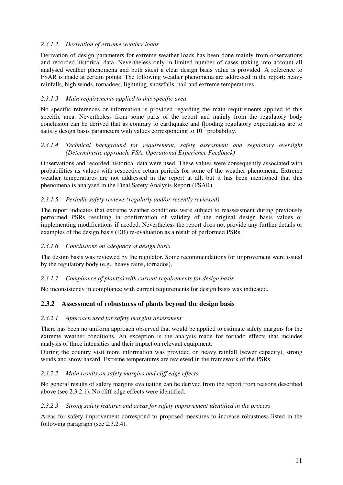# *2.3.1.2 Derivation of extreme weather loads*

Derivation of design parameters for extreme weather loads has been done mainly from observations and recorded historical data. Nevertheless only in limited number of cases (taking into account all analysed weather phenomena and both sites) a clear design basis value is provided. A reference to FSAR is made at certain points. The following weather phenomena are addressed in the report: heavy rainfalls, high winds, tornadoes, lightning, snowfalls, hail and extreme temperatures.

# *2.3.1.3 Main requirements applied to this specific area*

No specific references or information is provided regarding the main requirements applied to this specific area. Nevertheless from some parts of the report and mainly from the regulatory body conclusion can be derived that as contrary to earthquake and flooding regulatory expectations are to satisfy design basis parameters with values corresponding to  $10<sup>2</sup>$  probability.

# *2.3.1.4 Technical background for requirement, safety assessment and regulatory oversight (Deterministic approach, PSA, Operational Experience Feedback)*

Observations and recorded historical data were used. These values were consequently associated with probabilities as values with respective return periods for some of the weather phenomena. Extreme weather temperatures are not addressed in the report at all, but it has been mentioned that this phenomena is analysed in the Final Safety Analysis Report (FSAR).

# *2.3.1.5 Periodic safety reviews (regularly and/or recently reviewed)*

The report indicates that extreme weather conditions were subject to reassessment during previously performed PSRs resulting in confirmation of validity of the original design basis values or implementing modifications if needed. Nevertheless the report does not provide any further details or examples of the design basis (DB) re-evaluation as a result of performed PSRs.

# *2.3.1.6 Conclusions on adequacy of design basis*

The design basis was reviewed by the regulator. Some recommendations for improvement were issued by the regulatory body (e.g., heavy rains, tornados).

# *2.3.1.7 Compliance of plant(s) with current requirements for design basis*

No inconsistency in compliance with current requirements for design basis was indicated.

# **2.3.2 Assessment of robustness of plants beyond the design basis**

# *2.3.2.1 Approach used for safety margins assessment*

There has been no uniform approach observed that would be applied to estimate safety margins for the extreme weather conditions. An exception is the analysis made for tornado effects that includes analysis of three intensities and their impact on relevant equipment.

During the country visit more information was provided on heavy rainfall (sewer capacity), strong winds and snow hazard. Extreme temperatures are reviewed in the framework of the PSRs.

# *2.3.2.2 Main results on safety margins and cliff edge effects*

No general results of safety margins evaluation can be derived from the report from reasons described above (see 2.3.2.1). No cliff edge effects were identified.

#### *2.3.2.3 Strong safety features and areas for safety improvement identified in the process*

Areas for safety improvement correspond to proposed measures to increase robustness listed in the following paragraph (see 2.3.2.4).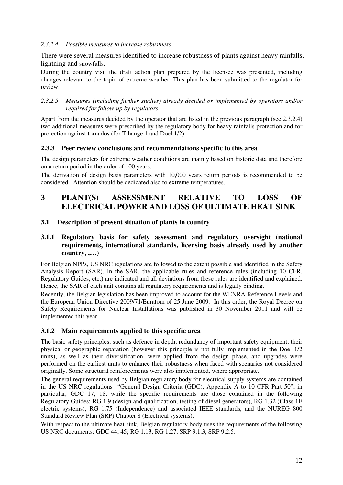# *2.3.2.4 Possible measures to increase robustness*

There were several measures identified to increase robustness of plants against heavy rainfalls, lightning and snowfalls.

During the country visit the draft action plan prepared by the licensee was presented, including changes relevant to the topic of extreme weather. This plan has been submitted to the regulator for review.

*2.3.2.5 Measures (including further studies) already decided or implemented by operators and/or required for follow-up by regulators* 

Apart from the measures decided by the operator that are listed in the previous paragraph (see 2.3.2.4) two additional measures were prescribed by the regulatory body for heavy rainfalls protection and for protection against tornados (for Tihange 1 and Doel 1/2).

# **2.3.3 Peer review conclusions and recommendations specific to this area**

The design parameters for extreme weather conditions are mainly based on historic data and therefore on a return period in the order of 100 years.

The derivation of design basis parameters with 10,000 years return periods is recommended to be considered. Attention should be dedicated also to extreme temperatures.

# **3 PLANT(S) ASSESSMENT RELATIVE TO LOSS OF ELECTRICAL POWER AND LOSS OF ULTIMATE HEAT SINK**

#### **3.1 Description of present situation of plants in country**

# **3.1.1 Regulatory basis for safety assessment and regulatory oversight (national requirements, international standards, licensing basis already used by another country, ,…)**

For Belgian NPPs, US NRC regulations are followed to the extent possible and identified in the Safety Analysis Report (SAR). In the SAR, the applicable rules and reference rules (including 10 CFR, Regulatory Guides, etc.) are indicated and all deviations from these rules are identified and explained. Hence, the SAR of each unit contains all regulatory requirements and is legally binding.

Recently, the Belgian legislation has been improved to account for the WENRA Reference Levels and the European Union Directive 2009/71/Euratom of 25 June 2009. In this order, the Royal Decree on Safety Requirements for Nuclear Installations was published in 30 November 2011 and will be implemented this year.

#### **3.1.2 Main requirements applied to this specific area**

The basic safety principles, such as defence in depth, redundancy of important safety equipment, their physical or geographic separation (however this principle is not fully implemented in the Doel 1/2 units), as well as their diversification, were applied from the design phase, and upgrades were performed on the earliest units to enhance their robustness when faced with scenarios not considered originally. Some structural reinforcements were also implemented, where appropriate.

The general requirements used by Belgian regulatory body for electrical supply systems are contained in the US NRC regulations "General Design Criteria (GDC), Appendix A to 10 CFR Part 50", in particular, GDC 17, 18, while the specific requirements are those contained in the following Regulatory Guides: RG 1.9 (design and qualification, testing of diesel generators), RG 1.32 (Class 1E electric systems), RG 1.75 (Independence) and associated IEEE standards, and the NUREG 800 Standard Review Plan (SRP) Chapter 8 (Electrical systems).

With respect to the ultimate heat sink, Belgian regulatory body uses the requirements of the following US NRC documents: GDC 44, 45; RG 1.13, RG 1.27, SRP 9.1.3, SRP 9.2.5.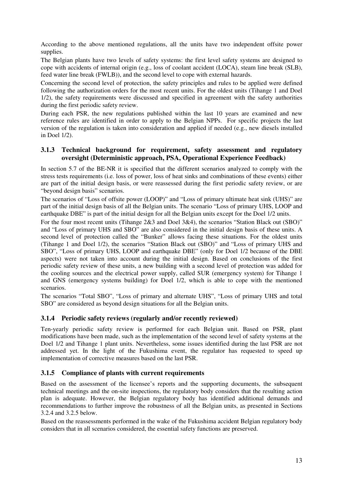According to the above mentioned regulations, all the units have two independent offsite power supplies.

The Belgian plants have two levels of safety systems: the first level safety systems are designed to cope with accidents of internal origin (e.g., loss of coolant accident (LOCA), steam line break (SLB), feed water line break (FWLB)), and the second level to cope with external hazards.

Concerning the second level of protection, the safety principles and rules to be applied were defined following the authorization orders for the most recent units. For the oldest units (Tihange 1 and Doel 1/2), the safety requirements were discussed and specified in agreement with the safety authorities during the first periodic safety review.

During each PSR, the new regulations published within the last 10 years are examined and new reference rules are identified in order to apply to the Belgian NPPs. For specific projects the last version of the regulation is taken into consideration and applied if needed (e.g., new diesels installed in Doel 1/2).

# **3.1.3 Technical background for requirement, safety assessment and regulatory oversight (Deterministic approach, PSA, Operational Experience Feedback)**

In section 5.7 of the BE-NR it is specified that the different scenarios analyzed to comply with the stress tests requirements (i.e. loss of power, loss of heat sinks and combinations of these events) either are part of the initial design basis, or were reassessed during the first periodic safety review, or are "beyond design basis" scenarios.

The scenarios of "Loss of offsite power (LOOP)" and "Loss of primary ultimate heat sink (UHS)" are part of the initial design basis of all the Belgian units. The scenario "Loss of primary UHS, LOOP and earthquake DBE" is part of the initial design for all the Belgian units except for the Doel 1/2 units.

For the four most recent units (Tihange 2&3 and Doel 3&4), the scenarios "Station Black out (SBO)" and "Loss of primary UHS and SBO" are also considered in the initial design basis of these units. A second level of protection called the "Bunker" allows facing these situations. For the oldest units (Tihange 1 and Doel 1/2), the scenarios "Station Black out (SBO)" and "Loss of primary UHS and SBO", "Loss of primary UHS, LOOP and earthquake DBE" (only for Doel 1/2 because of the DBE aspects) were not taken into account during the initial design. Based on conclusions of the first periodic safety review of these units, a new building with a second level of protection was added for the cooling sources and the electrical power supply, called SUR (emergency system) for Tihange 1 and GNS (emergency systems building) for Doel 1/2, which is able to cope with the mentioned scenarios.

The scenarios "Total SBO", "Loss of primary and alternate UHS", "Loss of primary UHS and total SBO" are considered as beyond design situations for all the Belgian units.

# **3.1.4 Periodic safety reviews (regularly and/or recently reviewed)**

Ten-yearly periodic safety review is performed for each Belgian unit. Based on PSR, plant modifications have been made, such as the implementation of the second level of safety systems at the Doel 1/2 and Tihange 1 plant units. Nevertheless, some issues identified during the last PSR are not addressed yet. In the light of the Fukushima event, the regulator has requested to speed up implementation of corrective measures based on the last PSR.

# **3.1.5 Compliance of plants with current requirements**

Based on the assessment of the licensee's reports and the supporting documents, the subsequent technical meetings and the on-site inspections, the regulatory body considers that the resulting action plan is adequate. However, the Belgian regulatory body has identified additional demands and recommendations to further improve the robustness of all the Belgian units, as presented in Sections 3.2.4 and 3.2.5 below.

Based on the reassessments performed in the wake of the Fukushima accident Belgian regulatory body considers that in all scenarios considered, the essential safety functions are preserved.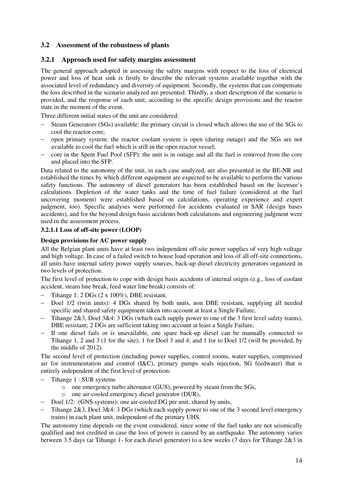# **3.2 Assessment of the robustness of plants**

## **3.2.1 Approach used for safety margins assessment**

The general approach adopted in assessing the safety margins with respect to the loss of electrical power and loss of heat sink is firstly to describe the relevant systems available together with the associated level of redundancy and diversity of equipment. Secondly, the systems that can compensate the loss described in the scenario analyzed are presented. Thirdly, a short description of the scenario is provided, and the response of each unit, according to the specific design provisions and the reactor state in the moment of the event.

Three different initial states of the unit are considered:

- Steam Generators (SGs) available: the primary circuit is closed which allows the use of the SGs to cool the reactor core;
- − open primary system: the reactor coolant system is open (during outage) and the SGs are not available to cool the fuel which is still in the open reactor vessel;
- − core in the Spent Fuel Pool (SFP): the unit is in outage and all the fuel is removed from the core and placed into the SFP.

Data related to the autonomy of the unit, in each case analyzed, are also presented in the BE-NR and established the times by which different equipment are expected to be available to perform the various safety functions. The autonomy of diesel generators has been established based on the licensee's calculations. Depletion of the water tanks and the time of fuel failure (considered at the fuel uncovering moment) were established based on calculations, operating experience and expert judgment, too). Specific analyses were performed for accidents evaluated in SAR (design bases accidents), and for the beyond design basis accidents both calculations and engineering judgment were used in the assessment process.

#### **3.2.1.1 Loss of off-site power (LOOP)**

# **Design provisions for AC power supply**

All the Belgian plant units have at least two independent off-site power supplies of very high voltage and high voltage. In case of a failed switch to house load operation and loss of all off-site connections, all units have internal safety power supply sources, back-up diesel electricity generators organized in two levels of protection.

The first level of protection to cope with design basis accidents of internal origin (e.g., loss of coolant accident, steam line break, feed water line break) consists of:

- − Tihange 1: 2 DGs (2 x 100%), DBE resistant,
- − Doel 1/2 (twin units): 4 DGs shared by both units, non DBE resistant, supplying all needed specific and shared safety equipment taken into account at least a Single Failure,
- Tihange 2&3, Doel 3&4: 3 DGs (which each supply power to one of the 3 first level safety trains), DBE resistant; 2 DGs are sufficient taking into account at least a Single Failure,
- If one diesel fails or is unavailable, one spare back-up diesel can be manually connected to Tihange 1, 2 and 3 (1 for the site); 1 for Doel 3 and 4; and 1 for to Doel 1/2 (will be provided, by the middle of 2012).

The second level of protection (including power supplies, control rooms, water supplies, compressed air for instrumentation and control (I&C), primary pumps seals injection, SG feedwater) that is entirely independent of the first level of protection:

- Tihange 1 : SUR systems
	- o one emergency turbo alternator (GUS), powered by steam from the SGs,
	- o one air-cooled emergency diesel generator (DUR),
- − Doel 1/2: (GNS systems): one air-cooled DG per unit, shared by units,
- Tihange 2&3, Doel 3&4: 3 DGs (which each supply power to one of the 3 second level emergency trains) in each plant unit, independent of the primary UHS.

The autonomy time depends on the event considered, since some of the fuel tanks are not seismically qualified and not credited in case the loss of power is caused by an earthquake. The autonomy varies between 3.5 days (at Tihange 1- for each diesel generator) to a few weeks (7 days for Tihange 2&3 in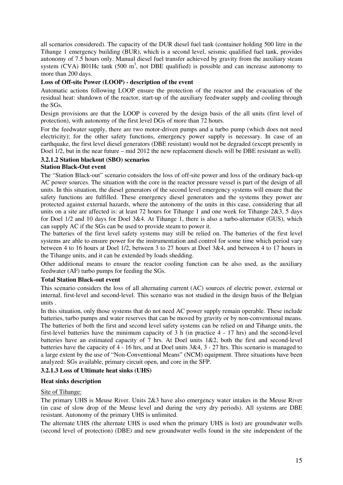all scenarios considered). The capacity of the DUR diesel fuel tank (container holding 500 litre in the Tihange 1 emergency building (BUR), which is a second level, seismic qualified fuel tank, provides autonomy of 7.5 hours only. Manual diesel fuel transfer achieved by gravity from the auxiliary steam system (CVA) B01Hc tank (500  $m<sup>3</sup>$ , not DBE qualified) is possible and can increase autonomy to more than 200 days.

# **Loss of Off-site Power (LOOP) - description of the event**

Automatic actions following LOOP ensure the protection of the reactor and the evacuation of the residual heat: shutdown of the reactor, start-up of the auxiliary feedwater supply and cooling through the SGs.

Design provisions are that the LOOP is covered by the design basis of the all units (first level of protection), with autonomy of the first level DGs of more than 72 hours.

For the feedwater supply, there are two motor-driven pumps and a turbo pump (which does not need electricity); for the other safety functions, emergency power supply is necessary. In case of an earthquake, the first level diesel generators (DBE resistant) would not be degraded (except presently in Doel 1/2, but in the near future – mid 2012 the new replacement diesels will be DBE resistant as well).

# **3.2.1.2 Station blackout (SBO) scenarios**

# **Station Black-Out event**

The "Station Black-out" scenario considers the loss of off-site power and loss of the ordinary back-up AC power sources. The situation with the core in the reactor pressure vessel is part of the design of all units. In this situation, the diesel generators of the second level emergency systems will ensure that the safety functions are fulfilled. These emergency diesel generators and the systems they power are protected against external hazards, where the autonomy of the units in this case, considering that all units on a site are affected is: at least 72 hours for Tihange 1 and one week for Tihange 2&3, 5 days for Doel 1/2 and 10 days for Doel 3&4. At Tihange 1, there is also a turbo-alternator (GUS), which can supply AC if the SGs can be used to provide steam to power it.

The batteries of the first level safety systems may still be relied on. The batteries of the first level systems are able to ensure power for the instrumentation and control for some time which period vary between 4 to 16 hours at Doel 1/2, between 3 to 27 hours at Doel 3&4, and between 4 to 17 hours in the Tihange units, and it can be extended by loads shedding.

Other additional means to ensure the reactor cooling function can be also used, as the auxiliary feedwater (AF) turbo pumps for feeding the SGs.

#### **Total Station Black-out event**

This scenario considers the loss of all alternating current (AC) sources of electric power, external or internal, first-level and second-level. This scenario was not studied in the design basis of the Belgian units .

In this situation, only those systems that do not need AC power supply remain operable. These include batteries, turbo pumps and water reserves that can be moved by gravity or by non-conventional means. The batteries of both the first and second level safety systems can be relied on and Tihange units, the first-level batteries have the minimum capacity of 3 h (in practice 4 - 17 hrs) and the second-level batteries have an estimated capacity of  $\overline{7}$  hrs. At Doel units 1&2, both the first and second-level batteries have the capacity of 4 - 16 hrs, and at Doel units 3&4, 3 - 27 hrs. This scenario is managed to a large extent by the use of "Non-Conventional Means" (NCM) equipment. Three situations have been analyzed: SGs available, primary circuit open, and core in the SFP.

# **3.2.1.3 Loss of Ultimate heat sinks (UHS)**

#### **Heat sinks description**

# Site of Tihange:

The primary UHS is Meuse River. Units 2&3 have also emergency water intakes in the Meuse River (in case of slow drop of the Meuse level and during the very dry periods). All systems are DBE resistant. Autonomy of the primary UHS is unlimited.

The alternate UHS (the alternate UHS is used when the primary UHS is lost) are groundwater wells (second level of protection) (DBE) and new groundwater wells found in the site independent of the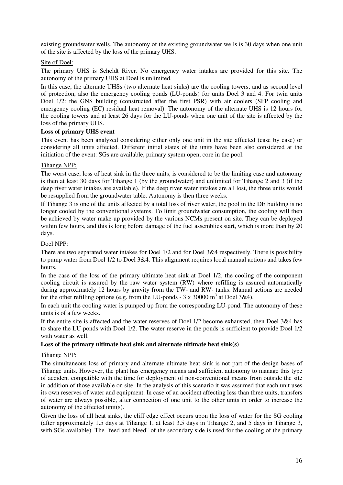existing groundwater wells. The autonomy of the existing groundwater wells is 30 days when one unit of the site is affected by the loss of the primary UHS.

# Site of Doel:

The primary UHS is Scheldt River. No emergency water intakes are provided for this site. The autonomy of the primary UHS at Doel is unlimited.

In this case, the alternate UHSs (two alternate heat sinks) are the cooling towers, and as second level of protection, also the emergency cooling ponds (LU-ponds) for units Doel 3 and 4. For twin units Doel 1/2: the GNS building (constructed after the first PSR) with air coolers (SFP cooling and emergency cooling (EC) residual heat removal). The autonomy of the alternate UHS is 12 hours for the cooling towers and at least 26 days for the LU-ponds when one unit of the site is affected by the loss of the primary UHS.

# **Loss of primary UHS event**

This event has been analyzed considering either only one unit in the site affected (case by case) or considering all units affected. Different initial states of the units have been also considered at the initiation of the event: SGs are available, primary system open, core in the pool.

#### Tihange NPP:

The worst case, loss of heat sink in the three units, is considered to be the limiting case and autonomy is then at least 30 days for Tihange 1 (by the groundwater) and unlimited for Tihange 2 and 3 (if the deep river water intakes are available). If the deep river water intakes are all lost, the three units would be resupplied from the groundwater table. Autonomy is then three weeks.

If Tihange 3 is one of the units affected by a total loss of river water, the pool in the DE building is no longer cooled by the conventional systems. To limit groundwater consumption, the cooling will then be achieved by water make-up provided by the various NCMs present on site. They can be deployed within few hours, and this is long before damage of the fuel assemblies start, which is more than by 20 days.

#### Doel NPP:

There are two separated water intakes for Doel 1/2 and for Doel 3&4 respectively. There is possibility to pump water from Doel 1/2 to Doel 3&4. This alignment requires local manual actions and takes few hours.

In the case of the loss of the primary ultimate heat sink at Doel 1/2, the cooling of the component cooling circuit is assured by the raw water system (RW) where refilling is assured automatically during approximately 12 hours by gravity from the TW- and RW- tanks. Manual actions are needed for the other refilling options (e.g. from the LU-ponds -  $3 \times 30000 \text{ m}^3$  at Doel  $3\&4$ ).

In each unit the cooling water is pumped up from the corresponding LU-pond. The autonomy of these units is of a few weeks.

If the entire site is affected and the water reserves of Doel 1/2 become exhausted, then Doel 3&4 has to share the LU-ponds with Doel 1/2. The water reserve in the ponds is sufficient to provide Doel 1/2 with water as well.

#### **Loss of the primary ultimate heat sink and alternate ultimate heat sink(s)**

# Tihange NPP:

The simultaneous loss of primary and alternate ultimate heat sink is not part of the design bases of Tihange units. However, the plant has emergency means and sufficient autonomy to manage this type of accident compatible with the time for deployment of non-conventional means from outside the site in addition of those available on site. In the analysis of this scenario it was assumed that each unit uses its own reserves of water and equipment. In case of an accident affecting less than three units, transfers of water are always possible, after connection of one unit to the other units in order to increase the autonomy of the affected unit(s).

Given the loss of all heat sinks, the cliff edge effect occurs upon the loss of water for the SG cooling (after approximately 1.5 days at Tihange 1, at least 3.5 days in Tihange 2, and 5 days in Tihange 3, with SGs available). The "feed and bleed" of the secondary side is used for the cooling of the primary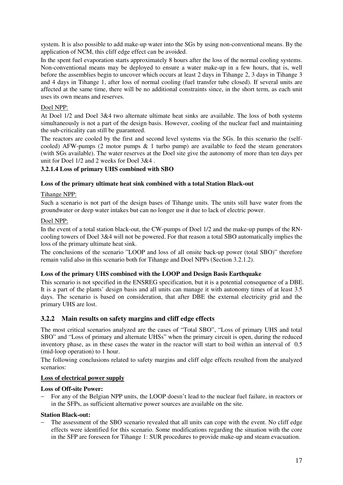system. It is also possible to add make-up water into the SGs by using non-conventional means. By the application of NCM, this cliff edge effect can be avoided.

In the spent fuel evaporation starts approximately 8 hours after the loss of the normal cooling systems. Non-conventional means may be deployed to ensure a water make-up in a few hours, that is, well before the assemblies begin to uncover which occurs at least 2 days in Tihange 2, 3 days in Tihange 3 and 4 days in Tihange 1, after loss of normal cooling (fuel transfer tube closed). If several units are affected at the same time, there will be no additional constraints since, in the short term, as each unit uses its own means and reserves.

# Doel NPP:

At Doel 1/2 and Doel 3&4 two alternate ultimate heat sinks are available. The loss of both systems simultaneously is not a part of the design basis. However, cooling of the nuclear fuel and maintaining the sub-criticality can still be guaranteed.

The reactors are cooled by the first and second level systems via the SGs. In this scenario the (selfcooled) AFW-pumps (2 motor pumps & 1 turbo pump) are available to feed the steam generators (with SGs available). The water reserves at the Doel site give the autonomy of more than ten days per unit for Doel 1/2 and 2 weeks for Doel 3&4 .

# **3.2.1.4 Loss of primary UHS combined with SBO**

# **Loss of the primary ultimate heat sink combined with a total Station Black-out**

#### Tihange NPP:

Such a scenario is not part of the design bases of Tihange units. The units still have water from the groundwater or deep water intakes but can no longer use it due to lack of electric power.

#### Doel NPP:

In the event of a total station black-out, the CW-pumps of Doel 1/2 and the make-up pumps of the RNcooling towers of Doel 3&4 will not be powered. For that reason a total SBO automatically implies the loss of the primary ultimate heat sink.

The conclusions of the scenario "LOOP and loss of all onsite back-up power (total SBO)" therefore remain valid also in this scenario both for Tihange and Doel NPPs (Section 3.2.1.2).

# **Loss of the primary UHS combined with the LOOP and Design Basis Earthquake**

This scenario is not specified in the ENSREG specification, but it is a potential consequence of a DBE. It is a part of the plants' design basis and all units can manage it with autonomy times of at least 3.5 days. The scenario is based on consideration, that after DBE the external electricity grid and the primary UHS are lost.

# **3.2.2 Main results on safety margins and cliff edge effects**

The most critical scenarios analyzed are the cases of "Total SBO", "Loss of primary UHS and total SBO" and "Loss of primary and alternate UHSs" when the primary circuit is open, during the reduced inventory phase, as in these cases the water in the reactor will start to boil within an interval of 0.5 (mid-loop operation) to 1 hour.

The following conclusions related to safety margins and cliff edge effects resulted from the analyzed scenarios:

# **Loss of electrical power supply**

# **Loss of Off-site Power:**

For any of the Belgian NPP units, the LOOP doesn't lead to the nuclear fuel failure, in reactors or in the SFPs, as sufficient alternative power sources are available on the site.

#### **Station Black-out:**

The assessment of the SBO scenario revealed that all units can cope with the event. No cliff edge effects were identified for this scenario. Some modifications regarding the situation with the core in the SFP are foreseen for Tihange 1: SUR procedures to provide make-up and steam evacuation.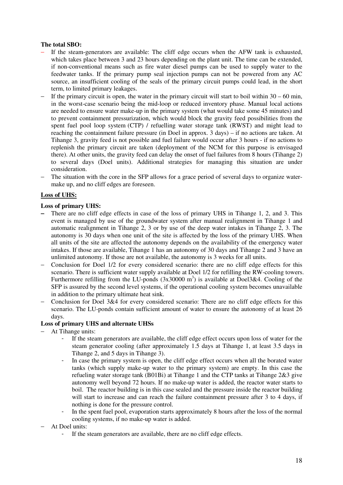# **The total SBO:**

- If the steam-generators are available: The cliff edge occurs when the AFW tank is exhausted, which takes place between 3 and 23 hours depending on the plant unit. The time can be extended, if non-conventional means such as fire water diesel pumps can be used to supply water to the feedwater tanks. If the primary pump seal injection pumps can not be powered from any AC source, an insufficient cooling of the seals of the primary circuit pumps could lead, in the short term, to limited primary leakages.
- If the primary circuit is open, the water in the primary circuit will start to boil within  $30 60$  min, in the worst-case scenario being the mid-loop or reduced inventory phase. Manual local actions are needed to ensure water make-up in the primary system (what would take some 45 minutes) and to prevent containment pressurization, which would block the gravity feed possibilities from the spent fuel pool loop system (CTP) / refuelling water storage tank (RWST) and might lead to reaching the containment failure pressure (in Doel in approx. 3 days) – if no actions are taken. At Tihange 3, gravity feed is not possible and fuel failure would occur after 3 hours - if no actions to replenish the primary circuit are taken (deployment of the NCM for this purpose is envisaged there). At other units, the gravity feed can delay the onset of fuel failures from 8 hours (Tihange 2) to several days (Doel units). Additional strategies for managing this situation are under consideration.
- The situation with the core in the SFP allows for a grace period of several days to organize watermake up, and no cliff edges are foreseen.

# **Loss of UHS:**

#### **Loss of primary UHS:**

- − There are no cliff edge effects in case of the loss of primary UHS in Tihange 1, 2, and 3. This event is managed by use of the groundwater system after manual realignment in Tihange 1 and automatic realignment in Tihange 2, 3 or by use of the deep water intakes in Tihange 2, 3. The autonomy is 30 days when one unit of the site is affected by the loss of the primary UHS. When all units of the site are affected the autonomy depends on the availability of the emergency water intakes. If those are available, Tihange 1 has an autonomy of 30 days and Tihange 2 and 3 have an unlimited autonomy. If those are not available, the autonomy is 3 weeks for all units.
- − Conclusion for Doel 1/2 for every considered scenario: there are no cliff edge effects for this scenario. There is sufficient water supply available at Doel 1/2 for refilling the RW-cooling towers. Furthermore refilling from the LU-ponds  $(3x30000 \text{ m}^3)$  is available at Doel3&4. Cooling of the SFP is assured by the second level systems, if the operational cooling system becomes unavailable in addition to the primary ultimate heat sink.
- − Conclusion for Doel 3&4 for every considered scenario: There are no cliff edge effects for this scenario. The LU-ponds contain sufficient amount of water to ensure the autonomy of at least 26 days.

# **Loss of primary UHS and alternate UHSs**

- − At Tihange units:
	- If the steam generators are available, the cliff edge effect occurs upon loss of water for the steam generator cooling (after approximately 1.5 days at Tihange 1, at least 3.5 days in Tihange 2, and 5 days in Tihange 3).
	- In case the primary system is open, the cliff edge effect occurs when all the borated water tanks (which supply make-up water to the primary system) are empty. In this case the refueling water storage tank (B01Bi) at Tihange 1 and the CTP tanks at Tihange 2&3 give autonomy well beyond 72 hours. If no make-up water is added, the reactor water starts to boil. The reactor building is in this case sealed and the pressure inside the reactor building will start to increase and can reach the failure containment pressure after 3 to 4 days, if nothing is done for the pressure control.
	- In the spent fuel pool, evaporation starts approximately 8 hours after the loss of the normal cooling systems, if no make-up water is added.
- − At Doel units:
	- If the steam generators are available, there are no cliff edge effects.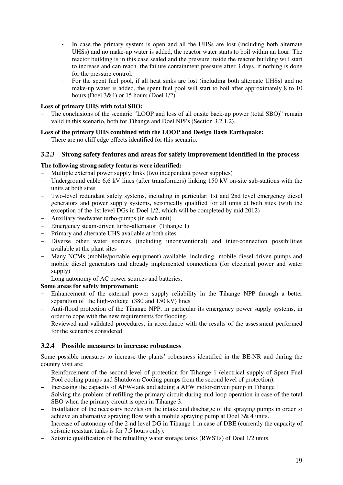- In case the primary system is open and all the UHSs are lost (including both alternate UHSs) and no make-up water is added, the reactor water starts to boil within an hour. The reactor building is in this case sealed and the pressure inside the reactor building will start to increase and can reach the failure containment pressure after 3 days, if nothing is done for the pressure control.
- For the spent fuel pool, if all heat sinks are lost (including both alternate UHSs) and no make-up water is added, the spent fuel pool will start to boil after approximately 8 to 10 hours (Doel 3&4) or 15 hours (Doel 1/2).

# **Loss of primary UHS with total SBO:**

The conclusions of the scenario "LOOP and loss of all onsite back-up power (total SBO)" remain valid in this scenario, both for Tihange and Doel NPPs (Section 3.2.1.2).

# **Loss of the primary UHS combined with the LOOP and Design Basis Earthquake:**

There are no cliff edge effects identified for this scenario.

# **3.2.3 Strong safety features and areas for safety improvement identified in the process**

# **The following strong safety features were identified:**

- − Multiple external power supply links (two independent power supplies)
- − Underground cable 6,6 kV lines (after transformers) linking 150 kV on-site sub-stations with the units at both sites
- − Two-level redundant safety systems, including in particular: 1st and 2nd level emergency diesel generators and power supply systems, seismically qualified for all units at both sites (with the exception of the 1st level DGs in Doel 1/2, which will be completed by mid 2012)
- − Auxiliary feedwater turbo-pumps (in each unit)
- − Emergency steam-driven turbo-alternator (Tihange 1)
- − Primary and alternate UHS available at both sites
- − Diverse other water sources (including unconventional) and inter-connection possibilities available at the plant sites
- − Many NCMs (mobile/portable equipment) available, including mobile diesel-driven pumps and mobile diesel generators and already implemented connections (for electrical power and water supply)
- Long autonomy of AC power sources and batteries.

# **Some areas for safety improvement:**

- − Enhancement of the external power supply reliability in the Tihange NPP through a better separation of the high-voltage (380 and 150 kV) lines
- − Anti-flood protection of the Tihange NPP, in particular its emergency power supply systems, in order to cope with the new requirements for flooding.
- Reviewed and validated procedures, in accordance with the results of the assessment performed for the scenarios considered

# **3.2.4 Possible measures to increase robustness**

Some possible measures to increase the plants' robustness identified in the BE-NR and during the country visit are:

- Reinforcement of the second level of protection for Tihange 1 (electrical supply of Spent Fuel Pool cooling pumps and Shutdown Cooling pumps from the second level of protection).
- Increasing the capacity of AFW-tank and adding a AFW motor-driven pump in Tihange 1
- Solving the problem of refilling the primary circuit during mid-loop operation in case of the total SBO when the primary circuit is open in Tihange 3.
- Installation of the necessary nozzles on the intake and discharge of the spraying pumps in order to achieve an alternative spraying flow with a mobile spraying pump at Doel 3& 4 units.
- Increase of autonomy of the 2-nd level DG in Tihange 1 in case of DBE (currently the capacity of seismic resistant tanks is for 7.5 hours only).
- Seismic qualification of the refuelling water storage tanks (RWSTs) of Doel 1/2 units.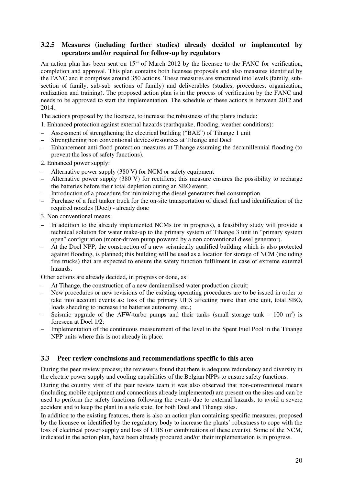# **3.2.5 Measures (including further studies) already decided or implemented by operators and/or required for follow-up by regulators**

An action plan has been sent on  $15<sup>th</sup>$  of March 2012 by the licensee to the FANC for verification, completion and approval. This plan contains both licensee proposals and also measures identified by the FANC and it comprises around 350 actions. These measures are structured into levels (family, subsection of family, sub-sub sections of family) and deliverables (studies, procedures, organization, realization and training). The proposed action plan is in the process of verification by the FANC and needs to be approved to start the implementation. The schedule of these actions is between 2012 and 2014.

The actions proposed by the licensee, to increase the robustness of the plants include:

1. Enhanced protection against external hazards (earthquake, flooding, weather conditions):

- Assessment of strengthening the electrical building ("BAE") of Tihange 1 unit
- Strengthening non conventional devices/resources at Tihange and Doel
- Enhancement anti-flood protection measures at Tihange assuming the decamillennial flooding (to prevent the loss of safety functions).
- 2. Enhanced power supply:
- Alternative power supply (380 V) for NCM or safety equipment
- Alternative power supply (380 V) for rectifiers; this measure ensures the possibility to recharge the batteries before their total depletion during an SBO event;
- Introduction of a procedure for minimizing the diesel generators fuel consumption
- Purchase of a fuel tanker truck for the on-site transportation of diesel fuel and identification of the required nozzles (Doel) - already done
- 3. Non conventional means:
- In addition to the already implemented NCMs (or in progress), a feasibility study will provide a technical solution for water make-up to the primary system of Tihange 3 unit in "primary system open" configuration (motor-driven pump powered by a non conventional diesel generator).
- At the Doel NPP, the construction of a new seismically qualified building which is also protected against flooding, is planned; this building will be used as a location for storage of NCM (including fire trucks) that are expected to ensure the safety function fulfilment in case of extreme external hazards.

Other actions are already decided, in progress or done, as:

- At Tihange, the construction of a new demineralised water production circuit;
- New procedures or new revisions of the existing operating procedures are to be issued in order to take into account events as: loss of the primary UHS affecting more than one unit, total SBO, loads shedding to increase the batteries autonomy, etc.;
- Seismic upgrade of the AFW-turbo pumps and their tanks (small storage tank  $-100 \text{ m}^3$ ) is foreseen at Doel 1/2;
- Implementation of the continuous measurement of the level in the Spent Fuel Pool in the Tihange NPP units where this is not already in place.

# **3.3 Peer review conclusions and recommendations specific to this area**

During the peer review process, the reviewers found that there is adequate redundancy and diversity in the electric power supply and cooling capabilities of the Belgian NPPs to ensure safety functions.

During the country visit of the peer review team it was also observed that non-conventional means (including mobile equipment and connections already implemented) are present on the sites and can be used to perform the safety functions following the events due to external hazards, to avoid a severe accident and to keep the plant in a safe state, for both Doel and Tihange sites.

In addition to the existing features, there is also an action plan containing specific measures, proposed by the licensee or identified by the regulatory body to increase the plants' robustness to cope with the loss of electrical power supply and loss of UHS (or combinations of these events). Some of the NCM, indicated in the action plan, have been already procured and/or their implementation is in progress.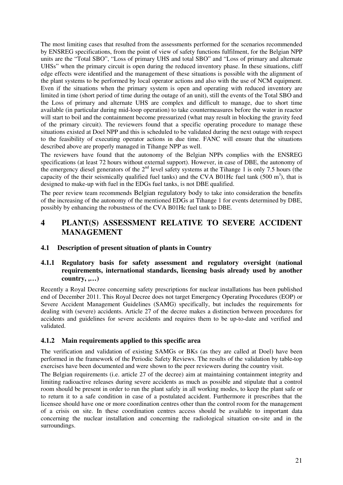The most limiting cases that resulted from the assessments performed for the scenarios recommended by ENSREG specifications, from the point of view of safety functions fulfilment, for the Belgian NPP units are the "Total SBO", "Loss of primary UHS and total SBO" and "Loss of primary and alternate UHSs" when the primary circuit is open during the reduced inventory phase. In these situations, cliff edge effects were identified and the management of these situations is possible with the alignment of the plant systems to be performed by local operator actions and also with the use of NCM equipment. Even if the situations when the primary system is open and operating with reduced inventory are limited in time (short period of time during the outage of an unit), still the events of the Total SBO and the Loss of primary and alternate UHS are complex and difficult to manage, due to short time available (in particular during mid-loop operation) to take countermeasures before the water in reactor will start to boil and the containment become pressurized (what may result in blocking the gravity feed of the primary circuit). The reviewers found that a specific operating procedure to manage these situations existed at Doel NPP and this is scheduled to be validated during the next outage with respect to the feasibility of executing operator actions in due time. FANC will ensure that the situations described above are properly managed in Tihange NPP as well.

The reviewers have found that the autonomy of the Belgian NPPs complies with the ENSREG specifications (at least 72 hours without external support). However, in case of DBE, the autonomy of the emergency diesel generators of the  $2<sup>nd</sup>$  level safety systems at the Tihange 1 is only 7.5 hours (the capacity of the their seismically qualified fuel tanks) and the CVA B01Hc fuel tank  $(500 \text{ m}^3)$ , that is designed to make-up with fuel in the EDGs fuel tanks, is not DBE qualified.

The peer review team recommends Belgian regulatory body to take into consideration the benefits of the increasing of the autonomy of the mentioned EDGs at Tihange 1 for events determined by DBE, possibly by enhancing the robustness of the CVA B01Hc fuel tank to DBE.

# **4 PLANT(S) ASSESSMENT RELATIVE TO SEVERE ACCIDENT MANAGEMENT**

# **4.1 Description of present situation of plants in Country**

# **4.1.1 Regulatory basis for safety assessment and regulatory oversight (national requirements, international standards, licensing basis already used by another country, ,…)**

Recently a Royal Decree concerning safety prescriptions for nuclear installations has been published end of December 2011. This Royal Decree does not target Emergency Operating Procedures (EOP) or Severe Accident Management Guidelines (SAMG) specifically, but includes the requirements for dealing with (severe) accidents. Article 27 of the decree makes a distinction between procedures for accidents and guidelines for severe accidents and requires them to be up-to-date and verified and validated.

# **4.1.2 Main requirements applied to this specific area**

The verification and validation of existing SAMGs or BKs (as they are called at Doel) have been performed in the framework of the Periodic Safety Reviews. The results of the validation by table-top exercises have been documented and were shown to the peer reviewers during the country visit.

The Belgian requirements (i.e. article 27 of the decree) aim at maintaining containment integrity and limiting radioactive releases during severe accidents as much as possible and stipulate that a control room should be present in order to run the plant safely in all working modes, to keep the plant safe or to return it to a safe condition in case of a postulated accident. Furthermore it prescribes that the licensee should have one or more coordination centres other than the control room for the management of a crisis on site. In these coordination centres access should be available to important data concerning the nuclear installation and concerning the radiological situation on-site and in the surroundings.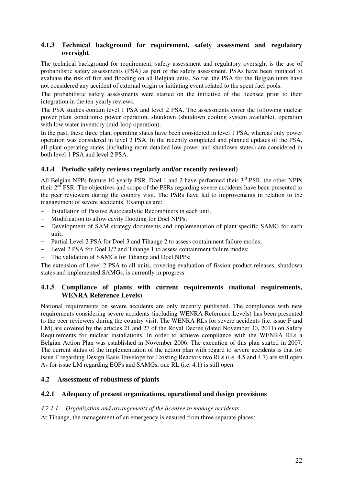# **4.1.3 Technical background for requirement, safety assessment and regulatory oversight**

The technical background for requirement, safety assessment and regulatory oversight is the use of probabilistic safety assessments (PSA) as part of the safety assessment. PSAs have been initiated to evaluate the risk of fire and flooding on all Belgian units. So far, the PSA for the Belgian units have not considered any accident of external origin or initiating event related to the spent fuel pools.

The probabilistic safety assessments were started on the initiative of the licensee prior to their integration in the ten-yearly reviews.

The PSA studies contain level 1 PSA and level 2 PSA. The assessments cover the following nuclear power plant conditions: power operation, shutdown (shutdown cooling system available), operation with low water inventory (mid-loop operation).

In the past, these three plant operating states have been considered in level 1 PSA, whereas only power operation was considered in level 2 PSA. In the recently completed and planned updates of the PSA, all plant operating states (including more detailed low-power and shutdown states) are considered in both level 1 PSA and level 2 PSA.

# **4.1.4 Periodic safety reviews (regularly and/or recently reviewed)**

All Belgian NPPs feature 10-yearly PSR, Doel 1 and 2 have performed their 3<sup>rd</sup> PSR, the other NPPs their 2<sup>nd</sup> PSR. The objectives and scope of the PSRs regarding severe accidents have been presented to the peer reviewers during the country visit. The PSRs have led to improvements in relation to the management of severe accidents. Examples are:

- − Installation of Passive Autocatalytic Recombiners in each unit;
- − Modification to allow cavity flooding for Doel NPPs;
- − Development of SAM strategy documents and implementation of plant-specific SAMG for each unit;
- − Partial Level 2 PSA for Doel 3 and Tihange 2 to assess containment failure modes;
- − Level 2 PSA for Doel 1/2 and Tihange 1 to assess containment failure modes;
- − The validation of SAMGs for Tihange and Doel NPPs;

The extension of Level 2 PSA to all units, covering evaluation of fission product releases, shutdown states and implemented SAMGs, is currently in progress.

# **4.1.5 Compliance of plants with current requirements (national requirements, WENRA Reference Levels)**

National requirements on severe accidents are only recently published. The compliance with new requirements considering severe accidents (including WENRA Reference Levels) has been presented to the peer reviewers during the country visit. The WENRA RLs for severe accidents (i.e. issue F and LM) are covered by the articles 21 and 27 of the Royal Decree (dated November 30, 2011) on Safety Requirements for nuclear installations. In order to achieve compliance with the WENRA RLs a Belgian Action Plan was established in November 2006. The execution of this plan started in 2007. The current status of the implementation of the action plan with regard to severe accidents is that for issue F regarding Design Basis Envelope for Existing Reactors two RLs (i.e. 4.5 and 4.7) are still open. As for issue LM regarding EOPs and SAMGs, one RL (i.e. 4.1) is still open.

# **4.2 Assessment of robustness of plants**

# **4.2.1 Adequacy of present organizations, operational and design provisions**

#### *4.2.1.1 Organization and arrangements of the licensee to manage accidents*

At Tihange, the management of an emergency is ensured from three separate places: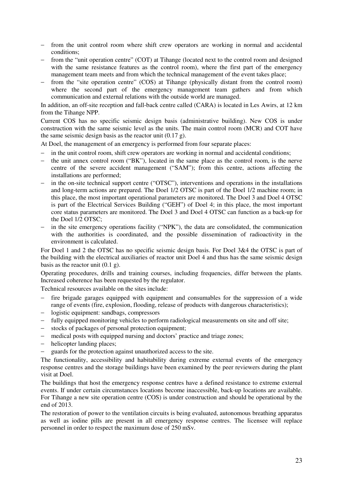- − from the unit control room where shift crew operators are working in normal and accidental conditions;
- − from the "unit operation centre" (COT) at Tihange (located next to the control room and designed with the same resistance features as the control room), where the first part of the emergency management team meets and from which the technical management of the event takes place;
- − from the "site operation centre" (COS) at Tihange (physically distant from the control room) where the second part of the emergency management team gathers and from which communication and external relations with the outside world are managed.

In addition, an off-site reception and fall-back centre called (CARA) is located in Les Awirs, at 12 km from the Tihange NPP.

Current COS has no specific seismic design basis (administrative building). New COS is under construction with the same seismic level as the units. The main control room (MCR) and COT have the same seismic design basis as the reactor unit (0.17 g).

At Doel, the management of an emergency is performed from four separate places:

- in the unit control room, shift crew operators are working in normal and accidental conditions;
- the unit annex control room ("BK"), located in the same place as the control room, is the nerve centre of the severe accident management ("SAM"); from this centre, actions affecting the installations are performed;
- − in the on-site technical support centre ("OTSC"), interventions and operations in the installations and long-term actions are prepared. The Doel 1/2 OTSC is part of the Doel 1/2 machine room; in this place, the most important operational parameters are monitored. The Doel 3 and Doel 4 OTSC is part of the Electrical Services Building ("GEH") of Doel 4; in this place, the most important core status parameters are monitored. The Doel 3 and Doel 4 OTSC can function as a back-up for the Doel 1/2 OTSC;
- in the site emergency operations facility ("NPK"), the data are consolidated, the communication with the authorities is coordinated, and the possible dissemination of radioactivity in the environment is calculated.

For Doel 1 and 2 the OTSC has no specific seismic design basis. For Doel 3&4 the OTSC is part of the building with the electrical auxiliaries of reactor unit Doel 4 and thus has the same seismic design basis as the reactor unit  $(0.1 \text{ g})$ .

Operating procedures, drills and training courses, including frequencies, differ between the plants. Increased coherence has been requested by the regulator.

Technical resources available on the sites include:

- fire brigade garages equipped with equipment and consumables for the suppression of a wide range of events (fire, explosion, flooding, release of products with dangerous characteristics);
- − logistic equipment: sandbags, compressors
- − fully equipped monitoring vehicles to perform radiological measurements on site and off site;
- − stocks of packages of personal protection equipment;
- medical posts with equipped nursing and doctors' practice and triage zones;
- − helicopter landing places;
- − guards for the protection against unauthorized access to the site.

The functionality, accessibility and habitability during extreme external events of the emergency response centres and the storage buildings have been examined by the peer reviewers during the plant visit at Doel.

The buildings that host the emergency response centres have a defined resistance to extreme external events. If under certain circumstances locations become inaccessible, back-up locations are available. For Tihange a new site operation centre (COS) is under construction and should be operational by the end of 2013.

The restoration of power to the ventilation circuits is being evaluated, autonomous breathing apparatus as well as iodine pills are present in all emergency response centres. The licensee will replace personnel in order to respect the maximum dose of 250 mSv.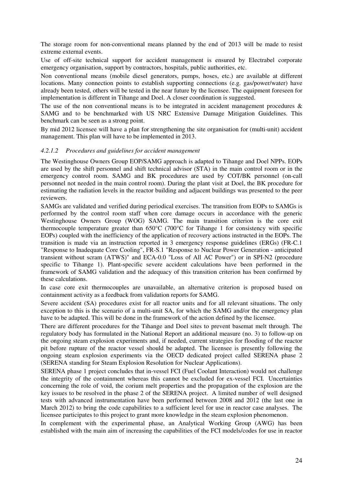The storage room for non-conventional means planned by the end of 2013 will be made to resist extreme external events.

Use of off-site technical support for accident management is ensured by Electrabel corporate emergency organisation, support by contractors, hospitals, public authorities, etc.

Non conventional means (mobile diesel generators, pumps, hoses, etc.) are available at different locations. Many connection points to establish supporting connections (e.g. gas/power/water) have already been tested, others will be tested in the near future by the licensee. The equipment foreseen for implementation is different in Tihange and Doel. A closer coordination is suggested.

The use of the non conventional means is to be integrated in accident management procedures  $\&$ SAMG and to be benchmarked with US NRC Extensive Damage Mitigation Guidelines. This benchmark can be seen as a strong point.

By mid 2012 licensee will have a plan for strengthening the site organisation for (multi-unit) accident management. This plan will have to be implemented in 2013.

#### *4.2.1.2 Procedures and guidelines for accident management*

The Westinghouse Owners Group EOP/SAMG approach is adapted to Tihange and Doel NPPs. EOPs are used by the shift personnel and shift technical advisor (STA) in the main control room or in the emergency control room. SAMG and BK procedures are used by COT/BK personnel (on-call personnel not needed in the main control room). During the plant visit at Doel, the BK procedure for estimating the radiation levels in the reactor building and adjacent buildings was presented to the peer reviewers.

SAMGs are validated and verified during periodical exercises. The transition from EOPs to SAMGs is performed by the control room staff when core damage occurs in accordance with the generic Westinghouse Owners Group (WOG) SAMG. The main transition criterion is the core exit thermocouple temperature greater than  $650^{\circ}$ C (700 $^{\circ}$ C for Tihange 1 for consistency with specific EOPs) coupled with the inefficiency of the application of recovery actions instructed in the EOPs. The transition is made via an instruction reported in 3 emergency response guidelines (ERGs) (FR-C.1 "Response to Inadequate Core Cooling", FR-S.1 "Response to Nuclear Power Generation - anticipated transient without scram (ATWS)" and ECA-0.0 "Loss of All AC Power") or in SPI-N2 (procedure specific to Tihange 1). Plant-specific severe accident calculations have been performed in the framework of SAMG validation and the adequacy of this transition criterion has been confirmed by these calculations.

In case core exit thermocouples are unavailable, an alternative criterion is proposed based on containment activity as a feedback from validation reports for SAMG.

Severe accident (SA) procedures exist for all reactor units and for all relevant situations. The only exception to this is the scenario of a multi-unit SA, for which the SAMG and/or the emergency plan have to be adapted. This will be done in the framework of the action defined by the licensee.

There are different procedures for the Tihange and Doel sites to prevent basemat melt through. The regulatory body has formulated in the National Report an additional measure (no. 3) to follow-up on the ongoing steam explosion experiments and, if needed, current strategies for flooding of the reactor pit before rupture of the reactor vessel should be adapted. The licensee is presently following the ongoing steam explosion experiments via the OECD dedicated project called SERENA phase 2 (SERENA standing for Steam Explosion Resolution for Nuclear Applications).

SERENA phase 1 project concludes that in-vessel FCI (Fuel Coolant Interaction) would not challenge the integrity of the containment whereas this cannot be excluded for ex-vessel FCI. Uncertainties concerning the role of void, the corium melt properties and the propagation of the explosion are the key issues to be resolved in the phase 2 of the SERENA project. A limited number of well designed tests with advanced instrumentation have been performed between 2008 and 2012 (the last one in March 2012) to bring the code capabilities to a sufficient level for use in reactor case analyses. The licensee participates to this project to grant more knowledge in the steam explosion phenomenon.

In complement with the experimental phase, an Analytical Working Group (AWG) has been established with the main aim of increasing the capabilities of the FCI models/codes for use in reactor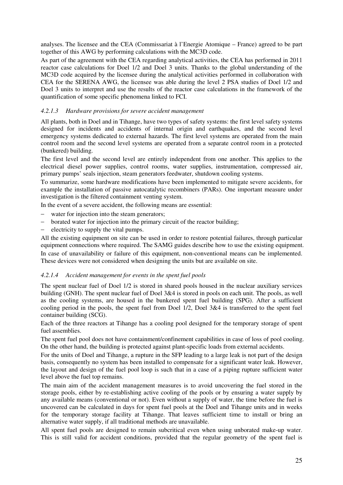analyses. The licensee and the CEA (Commissariat à l'Energie Atomique – France) agreed to be part together of this AWG by performing calculations with the MC3D code.

As part of the agreement with the CEA regarding analytical activities, the CEA has performed in 2011 reactor case calculations for Doel 1/2 and Doel 3 units. Thanks to the global understanding of the MC3D code acquired by the licensee during the analytical activities performed in collaboration with CEA for the SERENA AWG, the licensee was able during the level 2 PSA studies of Doel 1/2 and Doel 3 units to interpret and use the results of the reactor case calculations in the framework of the quantification of some specific phenomena linked to FCI.

# *4.2.1.3 Hardware provisions for severe accident management*

All plants, both in Doel and in Tihange, have two types of safety systems: the first level safety systems designed for incidents and accidents of internal origin and earthquakes, and the second level emergency systems dedicated to external hazards. The first level systems are operated from the main control room and the second level systems are operated from a separate control room in a protected (bunkered) building.

The first level and the second level are entirely independent from one another. This applies to the electrical diesel power supplies, control rooms, water supplies, instrumentation, compressed air, primary pumps' seals injection, steam generators feedwater, shutdown cooling systems.

To summarize, some hardware modifications have been implemented to mitigate severe accidents, for example the installation of passive autocatalytic recombiners (PARs). One important measure under investigation is the filtered containment venting system.

In the event of a severe accident, the following means are essential:

- water for injection into the steam generators;
- borated water for injection into the primary circuit of the reactor building;
- electricity to supply the vital pumps.

All the existing equipment on site can be used in order to restore potential failures, through particular equipment connections where required. The SAMG guides describe how to use the existing equipment. In case of unavailability or failure of this equipment, non-conventional means can be implemented. These devices were not considered when designing the units but are available on site.

#### *4.2.1.4 Accident management for events in the spent fuel pools*

The spent nuclear fuel of Doel 1/2 is stored in shared pools housed in the nuclear auxiliary services building (GNH). The spent nuclear fuel of Doel 3&4 is stored in pools on each unit. The pools, as well as the cooling systems, are housed in the bunkered spent fuel building (SPG). After a sufficient cooling period in the pools, the spent fuel from Doel 1/2, Doel 3&4 is transferred to the spent fuel container building (SCG).

Each of the three reactors at Tihange has a cooling pool designed for the temporary storage of spent fuel assemblies.

The spent fuel pool does not have containment/confinement capabilities in case of loss of pool cooling. On the other hand, the building is protected against plant-specific loads from external accidents.

For the units of Doel and Tihange, a rupture in the SFP leading to a large leak is not part of the design basis, consequently no system has been installed to compensate for a significant water leak. However, the layout and design of the fuel pool loop is such that in a case of a piping rupture sufficient water level above the fuel top remains.

The main aim of the accident management measures is to avoid uncovering the fuel stored in the storage pools, either by re-establishing active cooling of the pools or by ensuring a water supply by any available means (conventional or not). Even without a supply of water, the time before the fuel is uncovered can be calculated in days for spent fuel pools at the Doel and Tihange units and in weeks for the temporary storage facility at Tihange. That leaves sufficient time to install or bring an alternative water supply, if all traditional methods are unavailable.

All spent fuel pools are designed to remain subcritical even when using unborated make-up water. This is still valid for accident conditions, provided that the regular geometry of the spent fuel is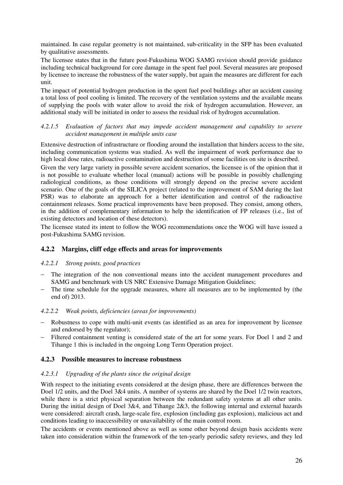maintained. In case regular geometry is not maintained, sub-criticality in the SFP has been evaluated by qualitative assessments.

The licensee states that in the future post-Fukushima WOG SAMG revision should provide guidance including technical background for core damage in the spent fuel pool. Several measures are proposed by licensee to increase the robustness of the water supply, but again the measures are different for each unit.

The impact of potential hydrogen production in the spent fuel pool buildings after an accident causing a total loss of pool cooling is limited. The recovery of the ventilation systems and the available means of supplying the pools with water allow to avoid the risk of hydrogen accumulation. However, an additional study will be initiated in order to assess the residual risk of hydrogen accumulation.

#### *4.2.1.5 Evaluation of factors that may impede accident management and capability to severe accident management in multiple units case*

Extensive destruction of infrastructure or flooding around the installation that hinders access to the site, including communication systems was studied. As well the impairment of work performance due to high local dose rates, radioactive contamination and destruction of some facilities on site is described.

Given the very large variety in possible severe accident scenarios, the licensee is of the opinion that it is not possible to evaluate whether local (manual) actions will be possible in possibly challenging radiological conditions, as those conditions will strongly depend on the precise severe accident scenario. One of the goals of the SILICA project (related to the improvement of SAM during the last PSR) was to elaborate an approach for a better identification and control of the radioactive containment releases. Some practical improvements have been proposed. They consist, among others, in the addition of complementary information to help the identification of FP releases (i.e., list of existing detectors and location of these detectors).

The licensee stated its intent to follow the WOG recommendations once the WOG will have issued a post-Fukushima SAMG revision.

# **4.2.2 Margins, cliff edge effects and areas for improvements**

#### *4.2.2.1 Strong points, good practices*

- The integration of the non conventional means into the accident management procedures and SAMG and benchmark with US NRC Extensive Damage Mitigation Guidelines;
- − The time schedule for the upgrade measures, where all measures are to be implemented by (the end of) 2013.

#### *4.2.2.2 Weak points, deficiencies (areas for improvements)*

- Robustness to cope with multi-unit events (as identified as an area for improvement by licensee and endorsed by the regulator);
- − Filtered containment venting is considered state of the art for some years. For Doel 1 and 2 and Tihange 1 this is included in the ongoing Long Term Operation project.

# **4.2.3 Possible measures to increase robustness**

#### *4.2.3.1 Upgrading of the plants since the original design*

With respect to the initiating events considered at the design phase, there are differences between the Doel 1/2 units, and the Doel 3&4 units. A number of systems are shared by the Doel 1/2 twin reactors, while there is a strict physical separation between the redundant safety systems at all other units. During the initial design of Doel 3&4, and Tihange 2&3, the following internal and external hazards were considered: aircraft crash, large-scale fire, explosion (including gas explosion), malicious act and conditions leading to inaccessibility or unavailability of the main control room.

The accidents or events mentioned above as well as some other beyond design basis accidents were taken into consideration within the framework of the ten-yearly periodic safety reviews, and they led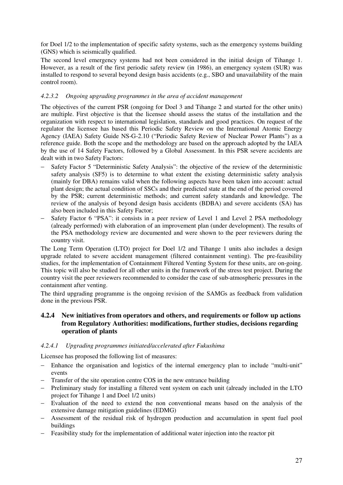for Doel 1/2 to the implementation of specific safety systems, such as the emergency systems building (GNS) which is seismically qualified.

The second level emergency systems had not been considered in the initial design of Tihange 1. However, as a result of the first periodic safety review (in 1986), an emergency system (SUR) was installed to respond to several beyond design basis accidents (e.g., SBO and unavailability of the main control room).

# *4.2.3.2 Ongoing upgrading programmes in the area of accident management*

The objectives of the current PSR (ongoing for Doel 3 and Tihange 2 and started for the other units) are multiple. First objective is that the licensee should assess the status of the installation and the organization with respect to international legislation, standards and good practices. On request of the regulator the licensee has based this Periodic Safety Review on the International Atomic Energy Agency (IAEA) Safety Guide NS-G-2.10 ("Periodic Safety Review of Nuclear Power Plants") as a reference guide. Both the scope and the methodology are based on the approach adopted by the IAEA by the use of 14 Safety Factors, followed by a Global Assessment. In this PSR severe accidents are dealt with in two Safety Factors:

- Safety Factor 5 "Deterministic Safety Analysis": the objective of the review of the deterministic safety analysis (SF5) is to determine to what extent the existing deterministic safety analysis (mainly for DBA) remains valid when the following aspects have been taken into account: actual plant design; the actual condition of SSCs and their predicted state at the end of the period covered by the PSR; current deterministic methods; and current safety standards and knowledge. The review of the analysis of beyond design basis accidents (BDBA) and severe accidents (SA) has also been included in this Safety Factor;
- Safety Factor 6 "PSA": it consists in a peer review of Level 1 and Level 2 PSA methodology (already performed) with elaboration of an improvement plan (under development). The results of the PSA methodology review are documented and were shown to the peer reviewers during the country visit.

The Long Term Operation (LTO) project for Doel 1/2 and Tihange 1 units also includes a design upgrade related to severe accident management (filtered containment venting). The pre-feasibility studies, for the implementation of Containment Filtered Venting System for these units, are on-going. This topic will also be studied for all other units in the framework of the stress test project. During the country visit the peer reviewers recommended to consider the case of sub-atmospheric pressures in the containment after venting.

The third upgrading programme is the ongoing revision of the SAMGs as feedback from validation done in the previous PSR.

# **4.2.4 New initiatives from operators and others, and requirements or follow up actions from Regulatory Authorities: modifications, further studies, decisions regarding operation of plants**

# *4.2.4.1 Upgrading programmes initiated/accelerated after Fukushima*

Licensee has proposed the following list of measures:

- − Enhance the organisation and logistics of the internal emergency plan to include "multi-unit" events
- Transfer of the site operation centre COS in the new entrance building
- − Preliminary study for installing a filtered vent system on each unit (already included in the LTO project for Tihange 1 and Doel 1/2 units)
- − Evaluation of the need to extend the non conventional means based on the analysis of the extensive damage mitigation guidelines (EDMG)
- − Assessment of the residual risk of hydrogen production and accumulation in spent fuel pool buildings
- − Feasibility study for the implementation of additional water injection into the reactor pit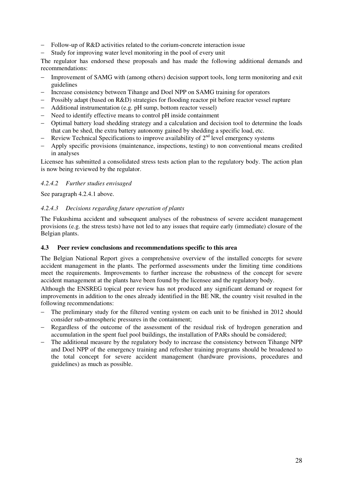- Follow-up of R&D activities related to the corium-concrete interaction issue
- Study for improving water level monitoring in the pool of every unit

The regulator has endorsed these proposals and has made the following additional demands and recommendations:

- Improvement of SAMG with (among others) decision support tools, long term monitoring and exit guidelines
- Increase consistency between Tihange and Doel NPP on SAMG training for operators
- − Possibly adapt (based on R&D) strategies for flooding reactor pit before reactor vessel rupture
- − Additional instrumentation (e.g. pH sump, bottom reactor vessel)
- − Need to identify effective means to control pH inside containment
- − Optimal battery load shedding strategy and a calculation and decision tool to determine the loads that can be shed, the extra battery autonomy gained by shedding a specific load, etc.
- − Review Technical Specifications to improve availability of 2<sup>nd</sup> level emergency systems
- − Apply specific provisions (maintenance, inspections, testing) to non conventional means credited in analyses

Licensee has submitted a consolidated stress tests action plan to the regulatory body. The action plan is now being reviewed by the regulator.

#### *4.2.4.2 Further studies envisaged*

See paragraph 4.2.4.1 above.

#### *4.2.4.3 Decisions regarding future operation of plants*

The Fukushima accident and subsequent analyses of the robustness of severe accident management provisions (e.g. the stress tests) have not led to any issues that require early (immediate) closure of the Belgian plants.

#### **4.3 Peer review conclusions and recommendations specific to this area**

The Belgian National Report gives a comprehensive overview of the installed concepts for severe accident management in the plants. The performed assessments under the limiting time conditions meet the requirements. Improvements to further increase the robustness of the concept for severe accident management at the plants have been found by the licensee and the regulatory body.

Although the ENSREG topical peer review has not produced any significant demand or request for improvements in addition to the ones already identified in the BE NR, the country visit resulted in the following recommendations:

- The preliminary study for the filtered venting system on each unit to be finished in 2012 should consider sub-atmospheric pressures in the containment;
- Regardless of the outcome of the assessment of the residual risk of hydrogen generation and accumulation in the spent fuel pool buildings, the installation of PARs should be considered;
- The additional measure by the regulatory body to increase the consistency between Tihange NPP and Doel NPP of the emergency training and refresher training programs should be broadened to the total concept for severe accident management (hardware provisions, procedures and guidelines) as much as possible.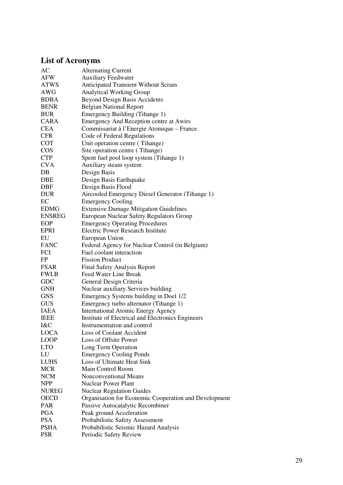# **List of Acronyms**

| AC            | <b>Alternating Current</b>                            |
|---------------|-------------------------------------------------------|
| AFW           | <b>Auxiliary Feedwater</b>                            |
| <b>ATWS</b>   | <b>Anticipated Transient Without Scram</b>            |
| AWG           | <b>Analytical Working Group</b>                       |
| <b>BDBA</b>   | <b>Beyond Design Basis Accidents</b>                  |
| <b>BENR</b>   | <b>Belgian National Report</b>                        |
| <b>BUR</b>    | Emergency Building (Tihange 1)                        |
| <b>CARA</b>   | Emergency And Reception centre at Awirs               |
| <b>CEA</b>    | Commissariat à l'Energie Atomique – France            |
| <b>CFR</b>    | Code of Federal Regulations                           |
| <b>COT</b>    | Unit operation centre (Tihange)                       |
| <b>COS</b>    | Site operation centre (Tihange)                       |
| <b>CTP</b>    | Spent fuel pool loop system (Tihange 1)               |
| <b>CVA</b>    | Auxiliary steam system                                |
| $DB$          | Design Basis                                          |
| DBE           | Design Basis Earthquake                               |
| <b>DBF</b>    | Design Basis Flood                                    |
| <b>DUR</b>    |                                                       |
|               | Aircooled Emergency Diesel Generator (Tihange 1)      |
| EC            | <b>Emergency Cooling</b>                              |
| <b>EDMG</b>   | <b>Extensive Damage Mitigation Guidelines</b>         |
| <b>ENSREG</b> | European Nuclear Safety Regulators Group              |
| EOP           | <b>Emergency Operating Procedures</b>                 |
| <b>EPRI</b>   | <b>Electric Power Research Institute</b>              |
| EU            | European Union                                        |
| <b>FANC</b>   | Federal Agency for Nuclear Control (in Belgium)       |
| <b>FCI</b>    | Fuel coolant interaction                              |
| FP            | <b>Fission Product</b>                                |
| <b>FSAR</b>   | <b>Final Safety Analysis Report</b>                   |
| <b>FWLB</b>   | Feed Water Line Break                                 |
| GDC           | General Design Criteria                               |
| <b>GNH</b>    | Nuclear auxiliary Services building                   |
| <b>GNS</b>    | Emergency Systems building in Doel 1/2                |
| <b>GUS</b>    | Emergency turbo alternator (Tihange 1)                |
| <b>IAEA</b>   | <b>International Atomic Energy Agency</b>             |
| <b>IEEE</b>   | Institute of Electrical and Electronics Engineers     |
| I&C           | Instrumentation and control                           |
| <b>LOCA</b>   | Loss of Coolant Accident                              |
| <b>LOOP</b>   | Loss of Offsite Power                                 |
| <b>LTO</b>    | Long Term Operation                                   |
| LU            | <b>Emergency Cooling Ponds</b>                        |
| <b>LUHS</b>   | Loss of Ultimate Heat Sink                            |
| <b>MCR</b>    | Main Control Room                                     |
| <b>NCM</b>    | <b>Nonconventional Means</b>                          |
| <b>NPP</b>    | <b>Nuclear Power Plant</b>                            |
| <b>NUREG</b>  | <b>Nuclear Regulation Guides</b>                      |
| <b>OECD</b>   | Organisation for Economic Cooperation and Development |
| <b>PAR</b>    | Passive Autocatalytic Recombiner                      |
| <b>PGA</b>    | Peak ground Acceleration                              |
| <b>PSA</b>    | Probabilistic Safety Assessment                       |
| <b>PSHA</b>   | Probabilistic Seismic Hazard Analysis                 |
| <b>PSR</b>    | Periodic Safety Review                                |
|               |                                                       |